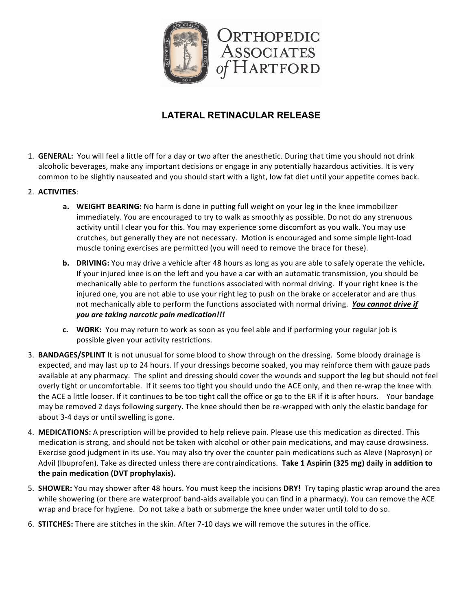

## **LATERAL RETINACULAR RELEASE**

- 1. **GENERAL:** You will feel a little off for a day or two after the anesthetic. During that time you should not drink alcoholic beverages, make any important decisions or engage in any potentially hazardous activities. It is very common to be slightly nauseated and you should start with a light, low fat diet until your appetite comes back.
- 2. **ACTIVITIES**:
	- **a.** WEIGHT BEARING: No harm is done in putting full weight on your leg in the knee immobilizer immediately. You are encouraged to try to walk as smoothly as possible. Do not do any strenuous activity until I clear you for this. You may experience some discomfort as you walk. You may use crutches, but generally they are not necessary. Motion is encouraged and some simple light-load muscle toning exercises are permitted (you will need to remove the brace for these).
	- **b. DRIVING:** You may drive a vehicle after 48 hours as long as you are able to safely operate the vehicle. If your injured knee is on the left and you have a car with an automatic transmission, you should be mechanically able to perform the functions associated with normal driving. If your right knee is the injured one, you are not able to use your right leg to push on the brake or accelerator and are thus not mechanically able to perform the functions associated with normal driving. You cannot drive if *you are taking narcotic pain medication!!!*
	- **c.** WORK: You may return to work as soon as you feel able and if performing your regular job is possible given your activity restrictions.
- 3. **BANDAGES/SPLINT** It is not unusual for some blood to show through on the dressing. Some bloody drainage is expected, and may last up to 24 hours. If your dressings become soaked, you may reinforce them with gauze pads available at any pharmacy. The splint and dressing should cover the wounds and support the leg but should not feel overly tight or uncomfortable. If it seems too tight you should undo the ACE only, and then re-wrap the knee with the ACE a little looser. If it continues to be too tight call the office or go to the ER if it is after hours. Your bandage may be removed 2 days following surgery. The knee should then be re-wrapped with only the elastic bandage for about 3-4 days or until swelling is gone.
- 4. MEDICATIONS: A prescription will be provided to help relieve pain. Please use this medication as directed. This medication is strong, and should not be taken with alcohol or other pain medications, and may cause drowsiness. Exercise good judgment in its use. You may also try over the counter pain medications such as Aleve (Naprosyn) or Advil (Ibuprofen). Take as directed unless there are contraindications. Take 1 Aspirin (325 mg) daily in addition to the pain medication (DVT prophylaxis).
- 5. **SHOWER:** You may shower after 48 hours. You must keep the incisions DRY! Try taping plastic wrap around the area while showering (or there are waterproof band-aids available you can find in a pharmacy). You can remove the ACE wrap and brace for hygiene. Do not take a bath or submerge the knee under water until told to do so.
- 6. **STITCHES:** There are stitches in the skin. After 7-10 days we will remove the sutures in the office.